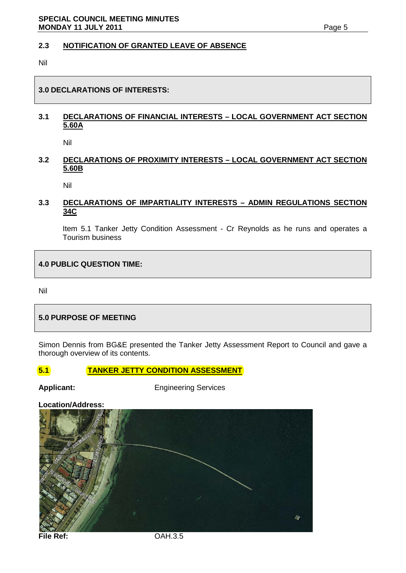#### **2.3 NOTIFICATION OF GRANTED LEAVE OF ABSENCE**

Nil

#### **3.0 DECLARATIONS OF INTERESTS:**

## **3.1 DECLARATIONS OF FINANCIAL INTERESTS – LOCAL GOVERNMENT ACT SECTION 5.60A**

Nil

#### **3.2 DECLARATIONS OF PROXIMITY INTERESTS – LOCAL GOVERNMENT ACT SECTION 5.60B**

Nil

#### **3.3 DECLARATIONS OF IMPARTIALITY INTERESTS – ADMIN REGULATIONS SECTION 34C**

Item 5.1 Tanker Jetty Condition Assessment - Cr Reynolds as he runs and operates a Tourism business

**4.0 PUBLIC QUESTION TIME:**

Nil

### **5.0 PURPOSE OF MEETING**

Simon Dennis from BG&E presented the Tanker Jetty Assessment Report to Council and gave a thorough overview of its contents.

**5.1 TANKER JETTY CONDITION ASSESSMENT** 

Applicant: Engineering Services

**Location/Address:**

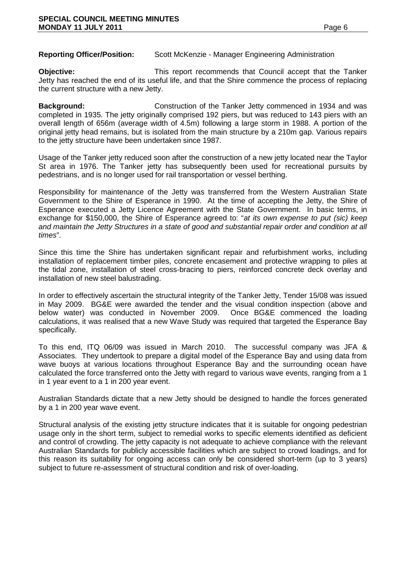**Reporting Officer/Position:** Scott McKenzie - Manager Engineering Administration

**Objective:** This report recommends that Council accept that the Tanker Jetty has reached the end of its useful life, and that the Shire commence the process of replacing the current structure with a new Jetty.

**Background:** Construction of the Tanker Jetty commenced in 1934 and was completed in 1935. The jetty originally comprised 192 piers, but was reduced to 143 piers with an overall length of 656m (average width of 4.5m) following a large storm in 1988. A portion of the original jetty head remains, but is isolated from the main structure by a 210m gap. Various repairs to the jetty structure have been undertaken since 1987.

Usage of the Tanker jetty reduced soon after the construction of a new jetty located near the Taylor St area in 1976. The Tanker jetty has subsequently been used for recreational pursuits by pedestrians, and is no longer used for rail transportation or vessel berthing.

Responsibility for maintenance of the Jetty was transferred from the Western Australian State Government to the Shire of Esperance in 1990. At the time of accepting the Jetty, the Shire of Esperance executed a Jetty Licence Agreement with the State Government. In basic terms, in exchange for \$150,000, the Shire of Esperance agreed to: "*at its own expense to put (sic) keep and maintain the Jetty Structures in a state of good and substantial repair order and condition at all times*".

Since this time the Shire has undertaken significant repair and refurbishment works, including installation of replacement timber piles, concrete encasement and protective wrapping to piles at the tidal zone, installation of steel cross-bracing to piers, reinforced concrete deck overlay and installation of new steel balustrading.

In order to effectively ascertain the structural integrity of the Tanker Jetty, Tender 15/08 was issued in May 2009. BG&E were awarded the tender and the visual condition inspection (above and below water) was conducted in November 2009. Once BG&E commenced the loading calculations, it was realised that a new Wave Study was required that targeted the Esperance Bay specifically.

To this end, ITQ 06/09 was issued in March 2010. The successful company was JFA & Associates. They undertook to prepare a digital model of the Esperance Bay and using data from wave buoys at various locations throughout Esperance Bay and the surrounding ocean have calculated the force transferred onto the Jetty with regard to various wave events, ranging from a 1 in 1 year event to a 1 in 200 year event.

Australian Standards dictate that a new Jetty should be designed to handle the forces generated by a 1 in 200 year wave event.

Structural analysis of the existing jetty structure indicates that it is suitable for ongoing pedestrian usage only in the short term, subject to remedial works to specific elements identified as deficient and control of crowding. The jetty capacity is not adequate to achieve compliance with the relevant Australian Standards for publicly accessible facilities which are subject to crowd loadings, and for this reason its suitability for ongoing access can only be considered short-term (up to 3 years) subject to future re-assessment of structural condition and risk of over-loading.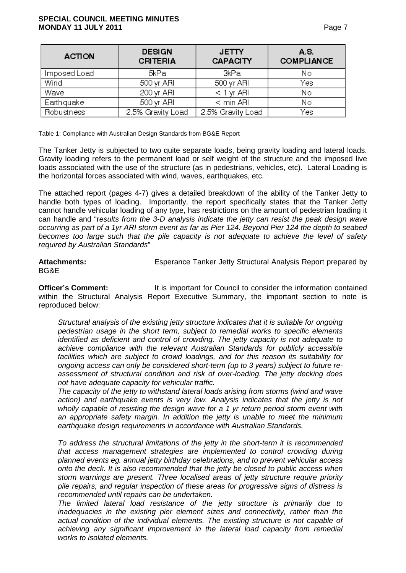| <b>ACTION</b> | <b>DESIGN</b><br><b>CRITERIA</b> | <b>JETTY</b><br><b>CAPACITY</b> | A.S.<br><b>COMPLIANCE</b> |
|---------------|----------------------------------|---------------------------------|---------------------------|
| Imposed Load  | 5kPa                             | 3kPa                            | Νo                        |
| Wind          | $500 \,\mathrm{yr}$ ARI          | 500 yr ARI                      | Yes                       |
| Wave          | $200$ yr ARI                     | $< 1$ yr ARI                    | No.                       |
| Earthquake    | $500 \,\mathrm{yr}$ ARI          | $<$ min ARI                     | No                        |
| Robustness    | 2.5% Gravity Load                | 2.5% Gravity Load               | Yes                       |

Table 1: Compliance with Australian Design Standards from BG&E Report

The Tanker Jetty is subjected to two quite separate loads, being gravity loading and lateral loads. Gravity loading refers to the permanent load or self weight of the structure and the imposed live loads associated with the use of the structure (as in pedestrians, vehicles, etc). Lateral Loading is the horizontal forces associated with wind, waves, earthquakes, etc.

The attached report (pages 4-7) gives a detailed breakdown of the ability of the Tanker Jetty to handle both types of loading. Importantly, the report specifically states that the Tanker Jetty cannot handle vehicular loading of any type, has restrictions on the amount of pedestrian loading it can handle and "r*esults from the 3-D analysis indicate the jetty can resist the peak design wave occurring as part of a 1yr ARI storm event as far as Pier 124. Beyond Pier 124 the depth to seabed becomes too large such that the pile capacity is not adequate to achieve the level of safety required by Australian Standards*"

**Attachments:** Esperance Tanker Jetty Structural Analysis Report prepared by BG&E

**Officer's Comment:** It is important for Council to consider the information contained within the Structural Analysis Report Executive Summary, the important section to note is reproduced below:

*Structural analysis of the existing jetty structure indicates that it is suitable for ongoing pedestrian usage in the short term, subject to remedial works to specific elements identified as deficient and control of crowding. The jetty capacity is not adequate to achieve compliance with the relevant Australian Standards for publicly accessible facilities which are subject to crowd loadings, and for this reason its suitability for ongoing access can only be considered short-term (up to 3 years) subject to future reassessment of structural condition and risk of over-loading. The jetty decking does not have adequate capacity for vehicular traffic.*

*The capacity of the jetty to withstand lateral loads arising from storms (wind and wave*  action) and earthquake events is very low. Analysis indicates that the jetty is not *wholly capable of resisting the design wave for a 1 yr return period storm event with an appropriate safety margin. In addition the jetty is unable to meet the minimum earthquake design requirements in accordance with Australian Standards.*

*To address the structural limitations of the jetty in the short-term it is recommended that access management strategies are implemented to control crowding during planned events eg. annual jetty birthday celebrations, and to prevent vehicular access onto the deck. It is also recommended that the jetty be closed to public access when storm warnings are present. Three localised areas of jetty structure require priority pile repairs, and regular inspection of these areas for progressive signs of distress is recommended until repairs can be undertaken.*

*The limited lateral load resistance of the jetty structure is primarily due to inadequacies in the existing pier element sizes and connectivity, rather than the actual condition of the individual elements. The existing structure is not capable of achieving any significant improvement in the lateral load capacity from remedial works to isolated elements.*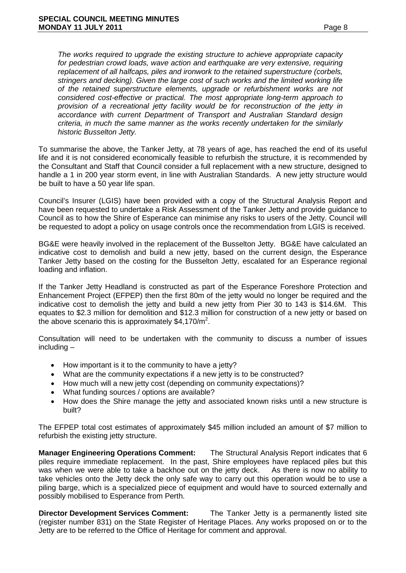*replacement of all halfcaps, piles and ironwork to the retained superstructure (corbels, stringers and decking). Given the large cost of such works and the limited working life of the retained superstructure elements, upgrade or refurbishment works are not considered cost-effective or practical. The most appropriate long-term approach to provision of a recreational jetty facility would be for reconstruction of the jetty in accordance with current Department of Transport and Australian Standard design criteria, in much the same manner as the works recently undertaken for the similarly historic Busselton Jetty.*

To summarise the above, the Tanker Jetty, at 78 years of age, has reached the end of its useful life and it is not considered economically feasible to refurbish the structure, it is recommended by the Consultant and Staff that Council consider a full replacement with a new structure, designed to handle a 1 in 200 year storm event, in line with Australian Standards. A new jetty structure would be built to have a 50 year life span.

Council's Insurer (LGIS) have been provided with a copy of the Structural Analysis Report and have been requested to undertake a Risk Assessment of the Tanker Jetty and provide guidance to Council as to how the Shire of Esperance can minimise any risks to users of the Jetty. Council will be requested to adopt a policy on usage controls once the recommendation from LGIS is received.

BG&E were heavily involved in the replacement of the Busselton Jetty. BG&E have calculated an indicative cost to demolish and build a new jetty, based on the current design, the Esperance Tanker Jetty based on the costing for the Busselton Jetty, escalated for an Esperance regional loading and inflation.

If the Tanker Jetty Headland is constructed as part of the Esperance Foreshore Protection and Enhancement Project (EFPEP) then the first 80m of the jetty would no longer be required and the indicative cost to demolish the jetty and build a new jetty from Pier 30 to 143 is \$14.6M. This equates to \$2.3 million for demolition and \$12.3 million for construction of a new jetty or based on the above scenario this is approximately \$4,170/m<sup>2</sup>.

Consultation will need to be undertaken with the community to discuss a number of issues including –

- How important is it to the community to have a jetty?
- What are the community expectations if a new jetty is to be constructed?
- How much will a new jetty cost (depending on community expectations)?
- What funding sources / options are available?
- How does the Shire manage the jetty and associated known risks until a new structure is built?

The EFPEP total cost estimates of approximately \$45 million included an amount of \$7 million to refurbish the existing jetty structure.

**Manager Engineering Operations Comment:** The Structural Analysis Report indicates that 6 piles require immediate replacement. In the past, Shire employees have replaced piles but this was when we were able to take a backhoe out on the jetty deck. As there is now no ability to take vehicles onto the Jetty deck the only safe way to carry out this operation would be to use a piling barge, which is a specialized piece of equipment and would have to sourced externally and possibly mobilised to Esperance from Perth.

**Director Development Services Comment:** The Tanker Jetty is a permanently listed site (register number 831) on the State Register of Heritage Places. Any works proposed on or to the Jetty are to be referred to the Office of Heritage for comment and approval.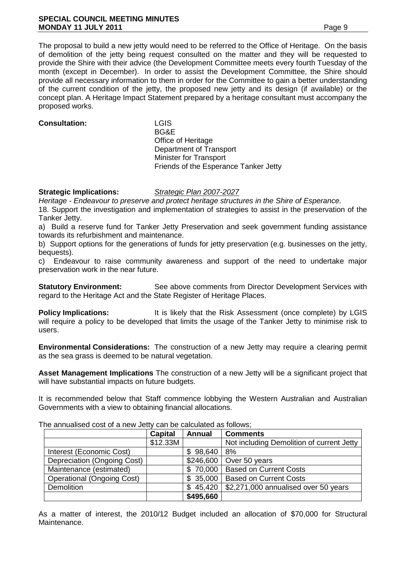#### **SPECIAL COUNCIL MEETING MINUTES MONDAY 11 JULY 2011 Page 9**

The proposal to build a new jetty would need to be referred to the Office of Heritage. On the basis of demolition of the jetty being request consulted on the matter and they will be requested to provide the Shire with their advice (the Development Committee meets every fourth Tuesday of the month (except in December). In order to assist the Development Committee, the Shire should provide all necessary information to them in order for the Committee to gain a better understanding of the current condition of the jetty, the proposed new jetty and its design (if available) or the concept plan. A Heritage Impact Statement prepared by a heritage consultant must accompany the proposed works.

#### **Consultation:** LGIS

BG&E Office of Heritage Department of Transport Minister for Transport Friends of the Esperance Tanker Jetty

#### **Strategic Implications:** *Strategic Plan 2007-2027*

*Heritage - Endeavour to preserve and protect heritage structures in the Shire of Esperance.* 18. Support the investigation and implementation of strategies to assist in the preservation of the Tanker Jetty.

a) Build a reserve fund for Tanker Jetty Preservation and seek government funding assistance towards its refurbishment and maintenance.

b) Support options for the generations of funds for jetty preservation (e.g. businesses on the jetty, bequests).

c) Endeavour to raise community awareness and support of the need to undertake major preservation work in the near future.

**Statutory Environment:** See above comments from Director Development Services with regard to the Heritage Act and the State Register of Heritage Places.

**Policy Implications:** It is likely that the Risk Assessment (once complete) by LGIS will require a policy to be developed that limits the usage of the Tanker Jetty to minimise risk to users.

**Environmental Considerations:** The construction of a new Jetty may require a clearing permit as the sea grass is deemed to be natural vegetation.

**Asset Management Implications** The construction of a new Jetty will be a significant project that will have substantial impacts on future budgets.

It is recommended below that Staff commence lobbying the Western Australian and Australian Governments with a view to obtaining financial allocations.

|                                   | Capital  | <b>Annual</b> | <b>Comments</b>                           |
|-----------------------------------|----------|---------------|-------------------------------------------|
|                                   | \$12.33M |               | Not including Demolition of current Jetty |
| Interest (Economic Cost)          |          | \$98,640      | 8%                                        |
| Depreciation (Ongoing Cost)       |          | \$246,600     | Over 50 years                             |
| Maintenance (estimated)           |          |               | \$70,000   Based on Current Costs         |
| <b>Operational (Ongoing Cost)</b> |          | \$35,000      | <b>Based on Current Costs</b>             |
| <b>Demolition</b>                 |          | \$45,420      | \$2,271,000 annualised over 50 years      |
|                                   |          | \$495,660     |                                           |

The annualised cost of a new Jetty can be calculated as follows;

As a matter of interest, the 2010/12 Budget included an allocation of \$70,000 for Structural Maintenance.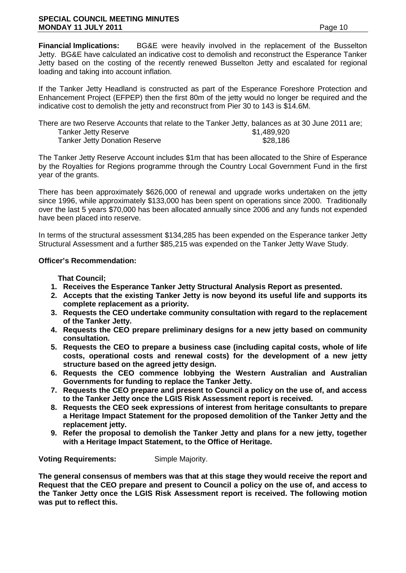**Financial Implications:** BG&E were heavily involved in the replacement of the Busselton Jetty. BG&E have calculated an indicative cost to demolish and reconstruct the Esperance Tanker Jetty based on the costing of the recently renewed Busselton Jetty and escalated for regional loading and taking into account inflation.

If the Tanker Jetty Headland is constructed as part of the Esperance Foreshore Protection and Enhancement Project (EFPEP) then the first 80m of the jetty would no longer be required and the indicative cost to demolish the jetty and reconstruct from Pier 30 to 143 is \$14.6M.

| There are two Reserve Accounts that relate to the Tanker Jetty, balances as at 30 June 2011 are; |             |
|--------------------------------------------------------------------------------------------------|-------------|
| Tanker Jetty Reserve                                                                             | \$1,489,920 |
| <b>Tanker Jetty Donation Reserve</b>                                                             | \$28,186    |

The Tanker Jetty Reserve Account includes \$1m that has been allocated to the Shire of Esperance by the Royalties for Regions programme through the Country Local Government Fund in the first year of the grants.

There has been approximately \$626,000 of renewal and upgrade works undertaken on the jetty since 1996, while approximately \$133,000 has been spent on operations since 2000. Traditionally over the last 5 years \$70,000 has been allocated annually since 2006 and any funds not expended have been placed into reserve.

In terms of the structural assessment \$134,285 has been expended on the Esperance tanker Jetty Structural Assessment and a further \$85,215 was expended on the Tanker Jetty Wave Study.

#### **Officer's Recommendation:**

**That Council;**

- **1. Receives the Esperance Tanker Jetty Structural Analysis Report as presented.**
- **2. Accepts that the existing Tanker Jetty is now beyond its useful life and supports its complete replacement as a priority.**
- **3. Requests the CEO undertake community consultation with regard to the replacement of the Tanker Jetty.**
- **4. Requests the CEO prepare preliminary designs for a new jetty based on community consultation.**
- **5. Requests the CEO to prepare a business case (including capital costs, whole of life costs, operational costs and renewal costs) for the development of a new jetty structure based on the agreed jetty design.**
- **6. Requests the CEO commence lobbying the Western Australian and Australian Governments for funding to replace the Tanker Jetty.**
- **7. Requests the CEO prepare and present to Council a policy on the use of, and access to the Tanker Jetty once the LGIS Risk Assessment report is received.**
- **8. Requests the CEO seek expressions of interest from heritage consultants to prepare a Heritage Impact Statement for the proposed demolition of the Tanker Jetty and the replacement jetty.**
- **9. Refer the proposal to demolish the Tanker Jetty and plans for a new jetty, together with a Heritage Impact Statement, to the Office of Heritage.**

**Voting Requirements:** Simple Majority.

**The general consensus of members was that at this stage they would receive the report and Request that the CEO prepare and present to Council a policy on the use of, and access to the Tanker Jetty once the LGIS Risk Assessment report is received. The following motion was put to reflect this.**